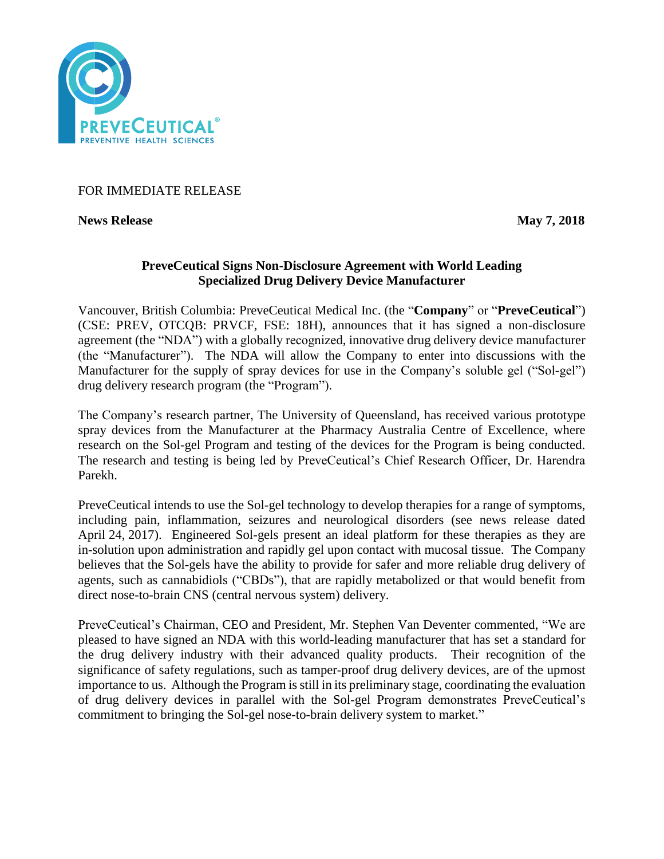

# FOR IMMEDIATE RELEASE

**News Release May 7, 2018** 

## **PreveCeutical Signs Non-Disclosure Agreement with World Leading Specialized Drug Delivery Device Manufacturer**

Vancouver, British Columbia: PreveCeutical Medical Inc. (the "**Company**" or "**PreveCeutical**") (CSE: PREV, OTCQB: PRVCF, FSE: 18H), announces that it has signed a non-disclosure agreement (the "NDA") with a globally recognized, innovative drug delivery device manufacturer (the "Manufacturer"). The NDA will allow the Company to enter into discussions with the Manufacturer for the supply of spray devices for use in the Company's soluble gel ("Sol-gel") drug delivery research program (the "Program").

The Company's research partner, The University of Queensland, has received various prototype spray devices from the Manufacturer at the Pharmacy Australia Centre of Excellence, where research on the Sol-gel Program and testing of the devices for the Program is being conducted. The research and testing is being led by PreveCeutical's Chief Research Officer, Dr. Harendra Parekh.

PreveCeutical intends to use the Sol-gel technology to develop therapies for a range of symptoms, including pain, inflammation, seizures and neurological disorders (see news release dated April 24, 2017). Engineered Sol-gels present an ideal platform for these therapies as they are in-solution upon administration and rapidly gel upon contact with mucosal tissue. The Company believes that the Sol-gels have the ability to provide for safer and more reliable drug delivery of agents, such as cannabidiols ("CBDs"), that are rapidly metabolized or that would benefit from direct nose-to-brain CNS (central nervous system) delivery.

PreveCeutical's Chairman, CEO and President, Mr. Stephen Van Deventer commented, "We are pleased to have signed an NDA with this world-leading manufacturer that has set a standard for the drug delivery industry with their advanced quality products. Their recognition of the significance of safety regulations, such as tamper-proof drug delivery devices, are of the upmost importance to us. Although the Program is still in its preliminary stage, coordinating the evaluation of drug delivery devices in parallel with the Sol-gel Program demonstrates PreveCeutical's commitment to bringing the Sol-gel nose-to-brain delivery system to market."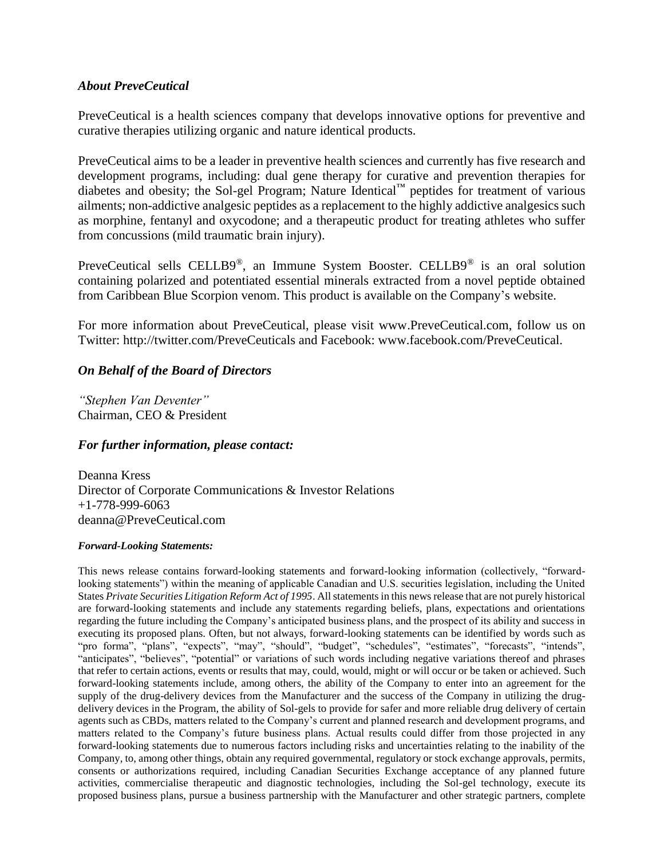### *About PreveCeutical*

PreveCeutical is a health sciences company that develops innovative options for preventive and curative therapies utilizing organic and nature identical products.

PreveCeutical aims to be a leader in preventive health sciences and currently has five research and development programs, including: dual gene therapy for curative and prevention therapies for diabetes and obesity; the Sol-gel Program; Nature Identical™ peptides for treatment of various ailments; non-addictive analgesic peptides as a replacement to the highly addictive analgesics such as morphine, fentanyl and oxycodone; and a therapeutic product for treating athletes who suffer from concussions (mild traumatic brain injury).

PreveCeutical sells CELLB9®, an Immune System Booster. CELLB9® is an oral solution containing polarized and potentiated essential minerals extracted from a novel peptide obtained from Caribbean Blue Scorpion venom. This product is available on the Company's website.

For more information about PreveCeutical, please visit www.PreveCeutical.com, follow us on Twitter: http://twitter.com/PreveCeuticals and Facebook: www.facebook.com/PreveCeutical.

### *On Behalf of the Board of Directors*

*"Stephen Van Deventer"* Chairman, CEO & President

### *For further information, please contact:*

Deanna Kress Director of Corporate Communications & Investor Relations +1-778-999-6063 deanna@PreveCeutical.com

#### *Forward-Looking Statements:*

This news release contains forward-looking statements and forward-looking information (collectively, "forwardlooking statements") within the meaning of applicable Canadian and U.S. securities legislation, including the United States *Private Securities Litigation Reform Act of 1995*. All statements in this news release that are not purely historical are forward-looking statements and include any statements regarding beliefs, plans, expectations and orientations regarding the future including the Company's anticipated business plans, and the prospect of its ability and success in executing its proposed plans. Often, but not always, forward-looking statements can be identified by words such as "pro forma", "plans", "expects", "may", "should", "budget", "schedules", "estimates", "forecasts", "intends", "anticipates", "believes", "potential" or variations of such words including negative variations thereof and phrases that refer to certain actions, events or results that may, could, would, might or will occur or be taken or achieved. Such forward-looking statements include, among others, the ability of the Company to enter into an agreement for the supply of the drug-delivery devices from the Manufacturer and the success of the Company in utilizing the drugdelivery devices in the Program, the ability of Sol-gels to provide for safer and more reliable drug delivery of certain agents such as CBDs, matters related to the Company's current and planned research and development programs, and matters related to the Company's future business plans. Actual results could differ from those projected in any forward-looking statements due to numerous factors including risks and uncertainties relating to the inability of the Company, to, among other things, obtain any required governmental, regulatory or stock exchange approvals, permits, consents or authorizations required, including Canadian Securities Exchange acceptance of any planned future activities, commercialise therapeutic and diagnostic technologies, including the Sol-gel technology, execute its proposed business plans, pursue a business partnership with the Manufacturer and other strategic partners, complete